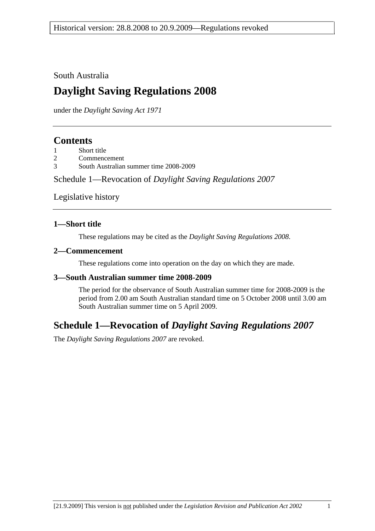South Australia

# **Daylight Saving Regulations 2008**

under the *Daylight Saving Act 1971*

### **Contents**

| Short title |
|-------------|
|             |

- 2 Commencement
- 3 South Australian summer time 2008-2009

Schedule 1—Revocation of *Daylight Saving Regulations 2007*

Legislative history

### **1—Short title**

These regulations may be cited as the *Daylight Saving Regulations 2008*.

### **2—Commencement**

These regulations come into operation on the day on which they are made.

### **3—South Australian summer time 2008-2009**

The period for the observance of South Australian summer time for 2008-2009 is the period from 2.00 am South Australian standard time on 5 October 2008 until 3.00 am South Australian summer time on 5 April 2009.

### **Schedule 1—Revocation of** *Daylight Saving Regulations 2007*

The *Daylight Saving Regulations 2007* are revoked.